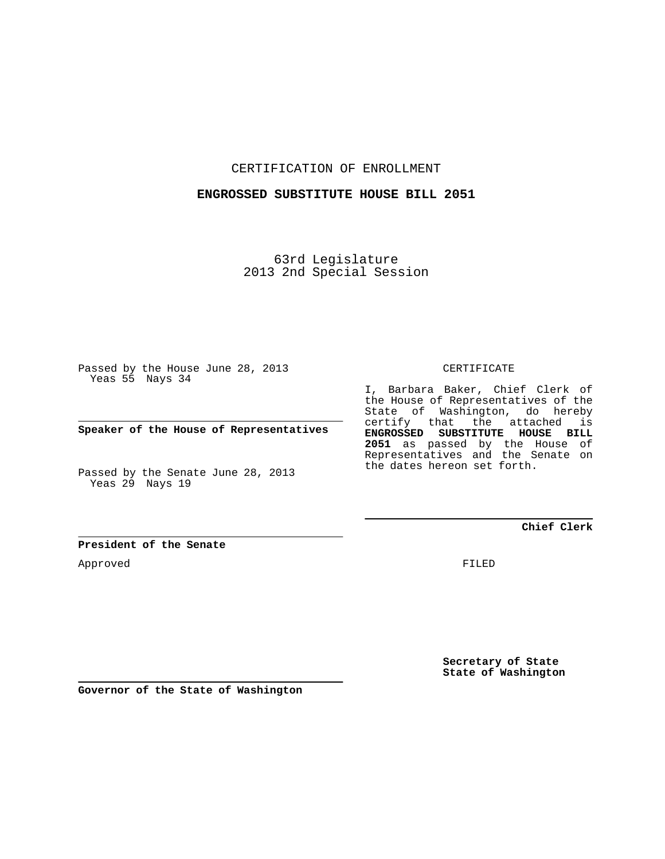CERTIFICATION OF ENROLLMENT

## **ENGROSSED SUBSTITUTE HOUSE BILL 2051**

63rd Legislature 2013 2nd Special Session

Passed by the House June 28, 2013 Yeas 55 Nays 34

**Speaker of the House of Representatives**

Passed by the Senate June 28, 2013 Yeas 29 Nays 19

CERTIFICATE

I, Barbara Baker, Chief Clerk of the House of Representatives of the State of Washington, do hereby certify that the attached is **ENGROSSED SUBSTITUTE HOUSE BILL 2051** as passed by the House of Representatives and the Senate on the dates hereon set forth.

**Chief Clerk**

**President of the Senate**

Approved

FILED

**Secretary of State State of Washington**

**Governor of the State of Washington**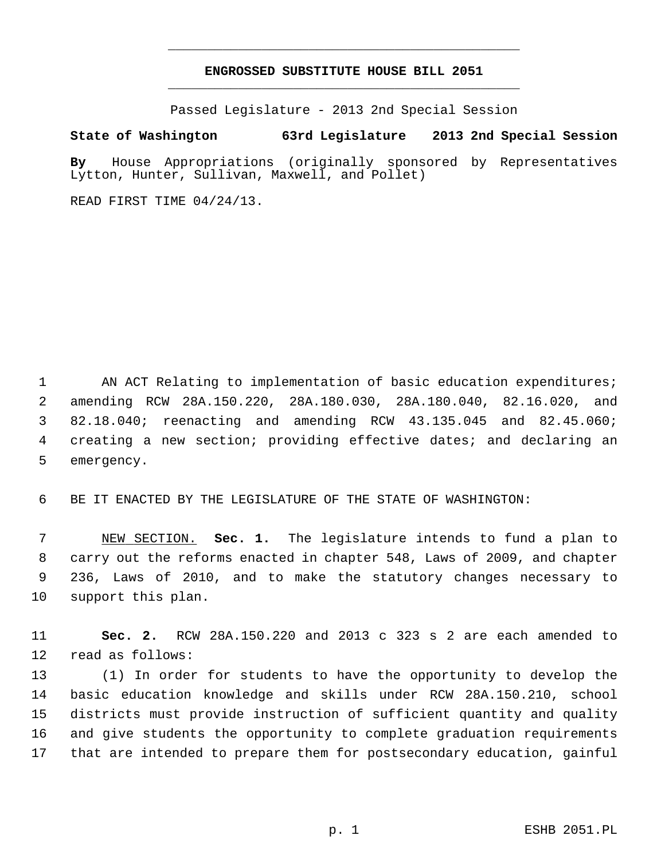## **ENGROSSED SUBSTITUTE HOUSE BILL 2051** \_\_\_\_\_\_\_\_\_\_\_\_\_\_\_\_\_\_\_\_\_\_\_\_\_\_\_\_\_\_\_\_\_\_\_\_\_\_\_\_\_\_\_\_\_

\_\_\_\_\_\_\_\_\_\_\_\_\_\_\_\_\_\_\_\_\_\_\_\_\_\_\_\_\_\_\_\_\_\_\_\_\_\_\_\_\_\_\_\_\_

Passed Legislature - 2013 2nd Special Session

## **State of Washington 63rd Legislature 2013 2nd Special Session**

**By** House Appropriations (originally sponsored by Representatives Lytton, Hunter, Sullivan, Maxwell, and Pollet)

READ FIRST TIME 04/24/13.

1 AN ACT Relating to implementation of basic education expenditures; 2 amending RCW 28A.150.220, 28A.180.030, 28A.180.040, 82.16.020, and 3 82.18.040; reenacting and amending RCW 43.135.045 and 82.45.060; 4 creating a new section; providing effective dates; and declaring an 5 emergency.

6 BE IT ENACTED BY THE LEGISLATURE OF THE STATE OF WASHINGTON:

 7 NEW SECTION. **Sec. 1.** The legislature intends to fund a plan to 8 carry out the reforms enacted in chapter 548, Laws of 2009, and chapter 9 236, Laws of 2010, and to make the statutory changes necessary to 10 support this plan.

11 **Sec. 2.** RCW 28A.150.220 and 2013 c 323 s 2 are each amended to 12 read as follows:

13 (1) In order for students to have the opportunity to develop the 14 basic education knowledge and skills under RCW 28A.150.210, school 15 districts must provide instruction of sufficient quantity and quality 16 and give students the opportunity to complete graduation requirements 17 that are intended to prepare them for postsecondary education, gainful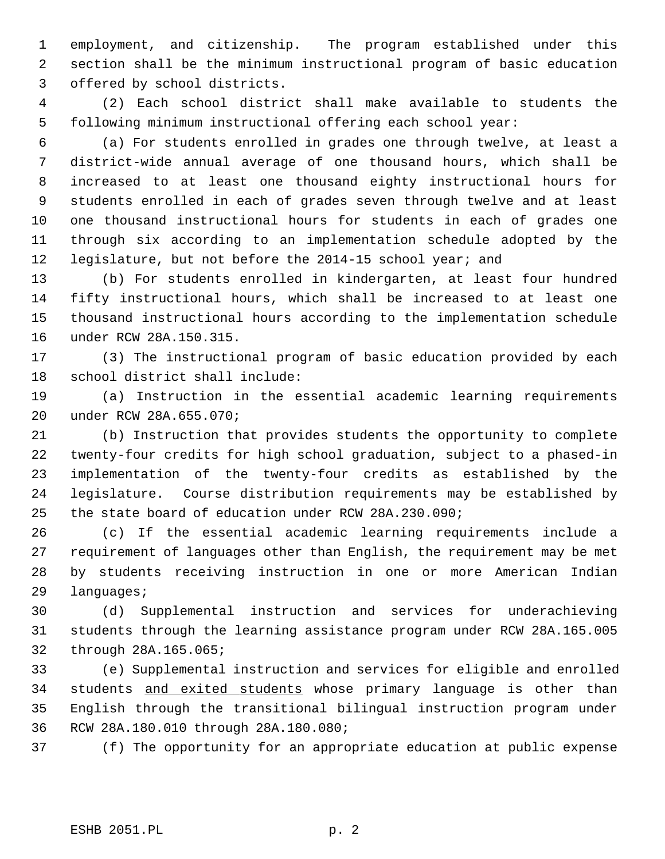1 employment, and citizenship. The program established under this 2 section shall be the minimum instructional program of basic education 3 offered by school districts.

 4 (2) Each school district shall make available to students the 5 following minimum instructional offering each school year:

 6 (a) For students enrolled in grades one through twelve, at least a 7 district-wide annual average of one thousand hours, which shall be 8 increased to at least one thousand eighty instructional hours for 9 students enrolled in each of grades seven through twelve and at least 10 one thousand instructional hours for students in each of grades one 11 through six according to an implementation schedule adopted by the 12 legislature, but not before the 2014-15 school year; and

13 (b) For students enrolled in kindergarten, at least four hundred 14 fifty instructional hours, which shall be increased to at least one 15 thousand instructional hours according to the implementation schedule 16 under RCW 28A.150.315.

17 (3) The instructional program of basic education provided by each 18 school district shall include:

19 (a) Instruction in the essential academic learning requirements 20 under RCW 28A.655.070;

21 (b) Instruction that provides students the opportunity to complete 22 twenty-four credits for high school graduation, subject to a phased-in 23 implementation of the twenty-four credits as established by the 24 legislature. Course distribution requirements may be established by 25 the state board of education under RCW 28A.230.090;

26 (c) If the essential academic learning requirements include a 27 requirement of languages other than English, the requirement may be met 28 by students receiving instruction in one or more American Indian 29 languages;

30 (d) Supplemental instruction and services for underachieving 31 students through the learning assistance program under RCW 28A.165.005 32 through 28A.165.065;

33 (e) Supplemental instruction and services for eligible and enrolled 34 students and exited students whose primary language is other than 35 English through the transitional bilingual instruction program under 36 RCW 28A.180.010 through 28A.180.080;

37 (f) The opportunity for an appropriate education at public expense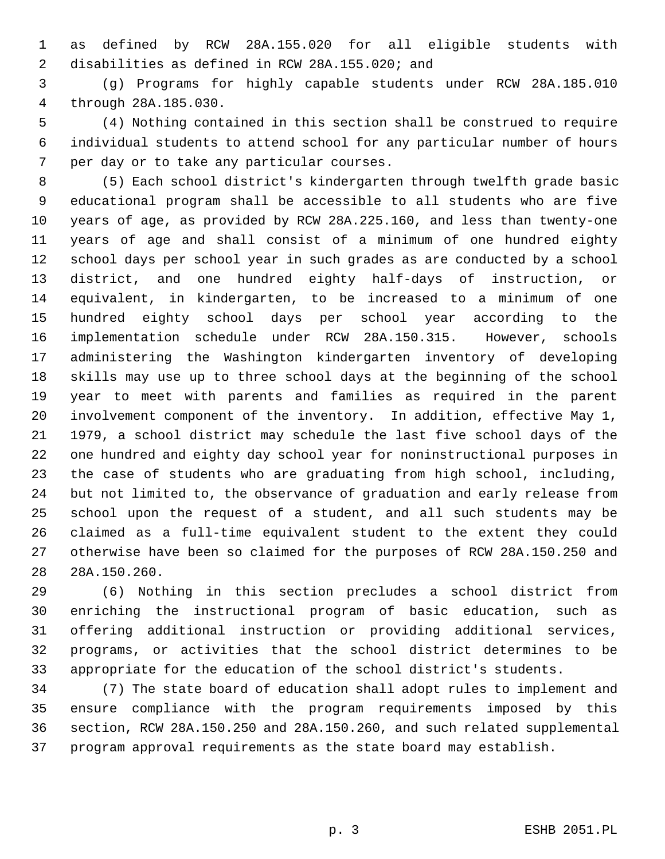1 as defined by RCW 28A.155.020 for all eligible students with 2 disabilities as defined in RCW 28A.155.020; and

 3 (g) Programs for highly capable students under RCW 28A.185.010 4 through 28A.185.030.

 5 (4) Nothing contained in this section shall be construed to require 6 individual students to attend school for any particular number of hours 7 per day or to take any particular courses.

 8 (5) Each school district's kindergarten through twelfth grade basic 9 educational program shall be accessible to all students who are five 10 years of age, as provided by RCW 28A.225.160, and less than twenty-one 11 years of age and shall consist of a minimum of one hundred eighty 12 school days per school year in such grades as are conducted by a school 13 district, and one hundred eighty half-days of instruction, or 14 equivalent, in kindergarten, to be increased to a minimum of one 15 hundred eighty school days per school year according to the 16 implementation schedule under RCW 28A.150.315. However, schools 17 administering the Washington kindergarten inventory of developing 18 skills may use up to three school days at the beginning of the school 19 year to meet with parents and families as required in the parent 20 involvement component of the inventory. In addition, effective May 1, 21 1979, a school district may schedule the last five school days of the 22 one hundred and eighty day school year for noninstructional purposes in 23 the case of students who are graduating from high school, including, 24 but not limited to, the observance of graduation and early release from 25 school upon the request of a student, and all such students may be 26 claimed as a full-time equivalent student to the extent they could 27 otherwise have been so claimed for the purposes of RCW 28A.150.250 and 28 28A.150.260.

29 (6) Nothing in this section precludes a school district from 30 enriching the instructional program of basic education, such as 31 offering additional instruction or providing additional services, 32 programs, or activities that the school district determines to be 33 appropriate for the education of the school district's students.

34 (7) The state board of education shall adopt rules to implement and 35 ensure compliance with the program requirements imposed by this 36 section, RCW 28A.150.250 and 28A.150.260, and such related supplemental 37 program approval requirements as the state board may establish.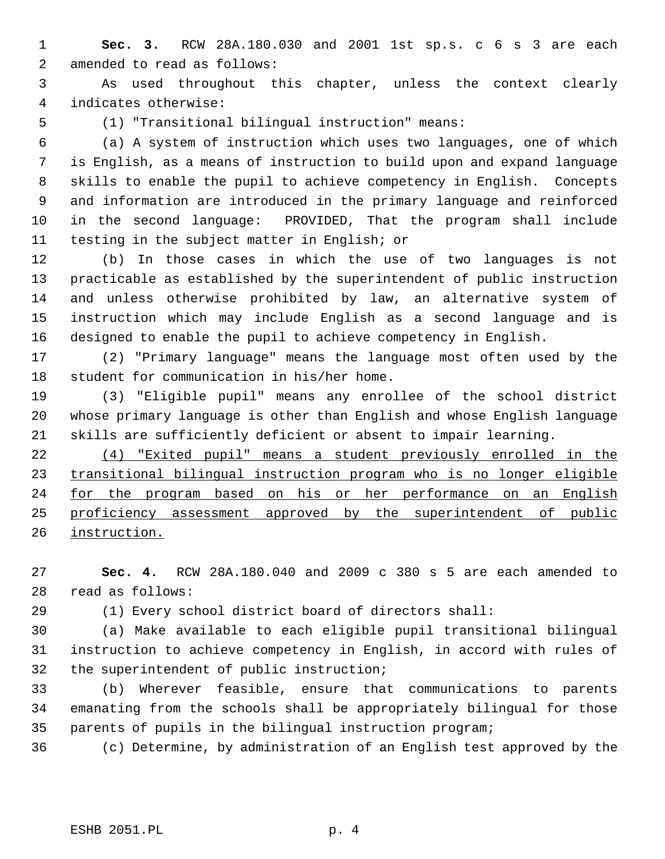- 1 **Sec. 3.** RCW 28A.180.030 and 2001 1st sp.s. c 6 s 3 are each 2 amended to read as follows:
- 3 As used throughout this chapter, unless the context clearly 4 indicates otherwise:
- 

5 (1) "Transitional bilingual instruction" means:

 6 (a) A system of instruction which uses two languages, one of which 7 is English, as a means of instruction to build upon and expand language 8 skills to enable the pupil to achieve competency in English. Concepts 9 and information are introduced in the primary language and reinforced 10 in the second language: PROVIDED, That the program shall include 11 testing in the subject matter in English; or

12 (b) In those cases in which the use of two languages is not 13 practicable as established by the superintendent of public instruction 14 and unless otherwise prohibited by law, an alternative system of 15 instruction which may include English as a second language and is 16 designed to enable the pupil to achieve competency in English.

17 (2) "Primary language" means the language most often used by the 18 student for communication in his/her home.

19 (3) "Eligible pupil" means any enrollee of the school district 20 whose primary language is other than English and whose English language 21 skills are sufficiently deficient or absent to impair learning.

 (4) "Exited pupil" means a student previously enrolled in the transitional bilingual instruction program who is no longer eligible for the program based on his or her performance on an English proficiency assessment approved by the superintendent of public instruction.

27 **Sec. 4.** RCW 28A.180.040 and 2009 c 380 s 5 are each amended to 28 read as follows:

29 (1) Every school district board of directors shall:

30 (a) Make available to each eligible pupil transitional bilingual 31 instruction to achieve competency in English, in accord with rules of 32 the superintendent of public instruction;

33 (b) Wherever feasible, ensure that communications to parents 34 emanating from the schools shall be appropriately bilingual for those 35 parents of pupils in the bilingual instruction program;

36 (c) Determine, by administration of an English test approved by the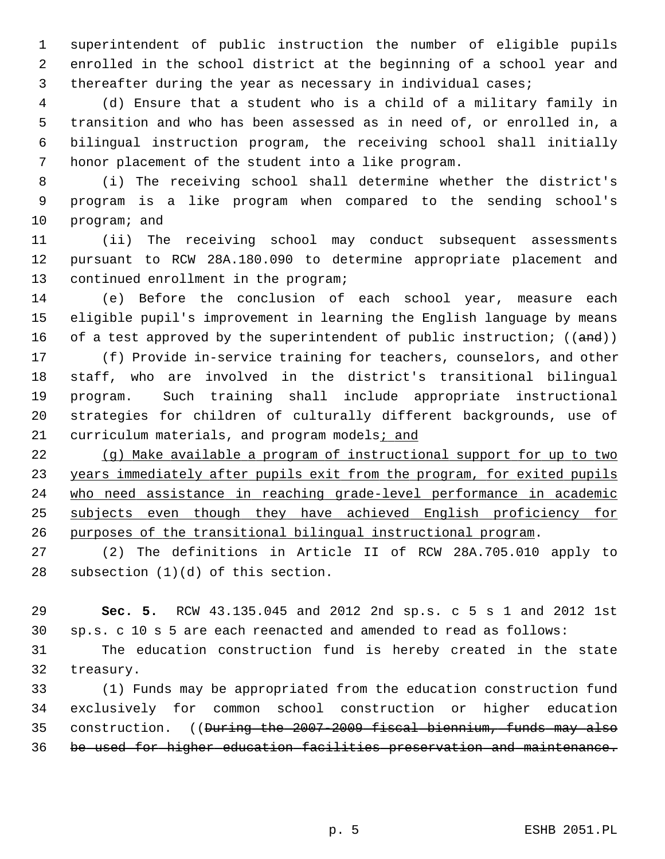1 superintendent of public instruction the number of eligible pupils 2 enrolled in the school district at the beginning of a school year and 3 thereafter during the year as necessary in individual cases;

 4 (d) Ensure that a student who is a child of a military family in 5 transition and who has been assessed as in need of, or enrolled in, a 6 bilingual instruction program, the receiving school shall initially 7 honor placement of the student into a like program.

 8 (i) The receiving school shall determine whether the district's 9 program is a like program when compared to the sending school's 10 program; and

11 (ii) The receiving school may conduct subsequent assessments 12 pursuant to RCW 28A.180.090 to determine appropriate placement and 13 continued enrollment in the program;

14 (e) Before the conclusion of each school year, measure each 15 eligible pupil's improvement in learning the English language by means 16 of a test approved by the superintendent of public instruction;  $((and))$ 

17 (f) Provide in-service training for teachers, counselors, and other 18 staff, who are involved in the district's transitional bilingual 19 program. Such training shall include appropriate instructional 20 strategies for children of culturally different backgrounds, use of 21 curriculum materials, and program models; and

 (g) Make available a program of instructional support for up to two years immediately after pupils exit from the program, for exited pupils who need assistance in reaching grade-level performance in academic subjects even though they have achieved English proficiency for purposes of the transitional bilingual instructional program.

27 (2) The definitions in Article II of RCW 28A.705.010 apply to 28 subsection (1)(d) of this section.

29 **Sec. 5.** RCW 43.135.045 and 2012 2nd sp.s. c 5 s 1 and 2012 1st 30 sp.s. c 10 s 5 are each reenacted and amended to read as follows:

31 The education construction fund is hereby created in the state 32 treasury.

33 (1) Funds may be appropriated from the education construction fund 34 exclusively for common school construction or higher education 35 construction. ((During the 2007-2009 fiscal biennium, funds may also 36 be used for higher education facilities preservation and maintenance.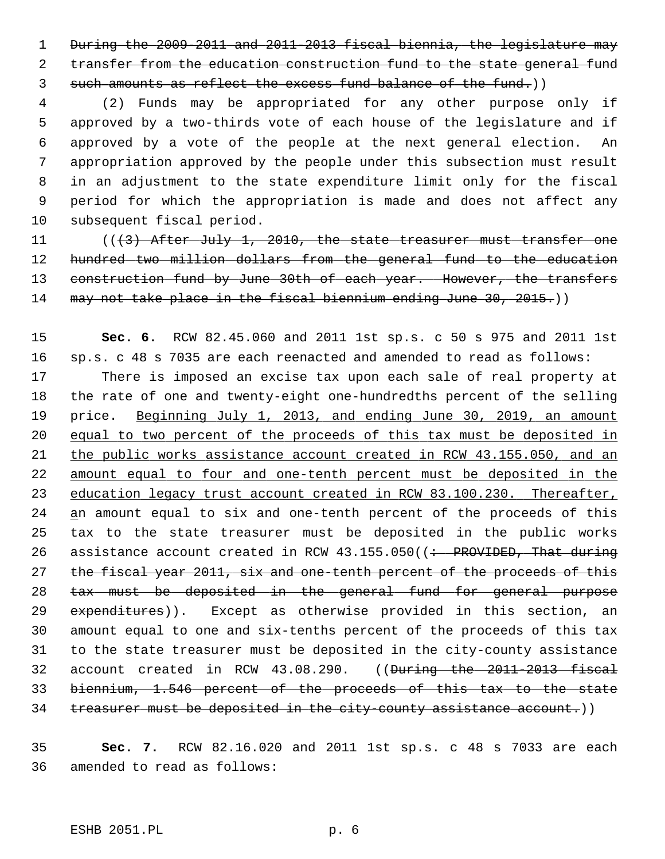1 During the 2009-2011 and 2011-2013 fiscal biennia, the legislature may 2 transfer from the education construction fund to the state general fund 3 such amounts as reflect the excess fund balance of the fund.))

 4 (2) Funds may be appropriated for any other purpose only if 5 approved by a two-thirds vote of each house of the legislature and if 6 approved by a vote of the people at the next general election. An 7 appropriation approved by the people under this subsection must result 8 in an adjustment to the state expenditure limit only for the fiscal 9 period for which the appropriation is made and does not affect any 10 subsequent fiscal period.

11 (((3) After July 1, 2010, the state treasurer must transfer one 12 hundred two million dollars from the general fund to the education 13 construction fund by June 30th of each year. However, the transfers 14 may not take place in the fiscal biennium ending June 30, 2015.)

15 **Sec. 6.** RCW 82.45.060 and 2011 1st sp.s. c 50 s 975 and 2011 1st 16 sp.s. c 48 s 7035 are each reenacted and amended to read as follows: 17 There is imposed an excise tax upon each sale of real property at 18 the rate of one and twenty-eight one-hundredths percent of the selling 19 price. Beginning July 1, 2013, and ending June 30, 2019, an amount 20 equal to two percent of the proceeds of this tax must be deposited in 21 the public works assistance account created in RCW 43.155.050, and an 22 amount equal to four and one-tenth percent must be deposited in the 23 education legacy trust account created in RCW 83.100.230. Thereafter, 24 an amount equal to six and one-tenth percent of the proceeds of this 25 tax to the state treasurer must be deposited in the public works 26 assistance account created in RCW  $43.155.050$  ( $\div$  PROVIDED, That during 27 the fiscal year 2011, six and one-tenth percent of the proceeds of this 28 tax must be deposited in the general fund for general purpose 29 expenditures)). Except as otherwise provided in this section, an 30 amount equal to one and six-tenths percent of the proceeds of this tax 31 to the state treasurer must be deposited in the city-county assistance 32 account created in RCW 43.08.290. ((During the 2011-2013 fiscal 33 biennium, 1.546 percent of the proceeds of this tax to the state 34 treasurer must be deposited in the city-county assistance account.))

35 **Sec. 7.** RCW 82.16.020 and 2011 1st sp.s. c 48 s 7033 are each 36 amended to read as follows: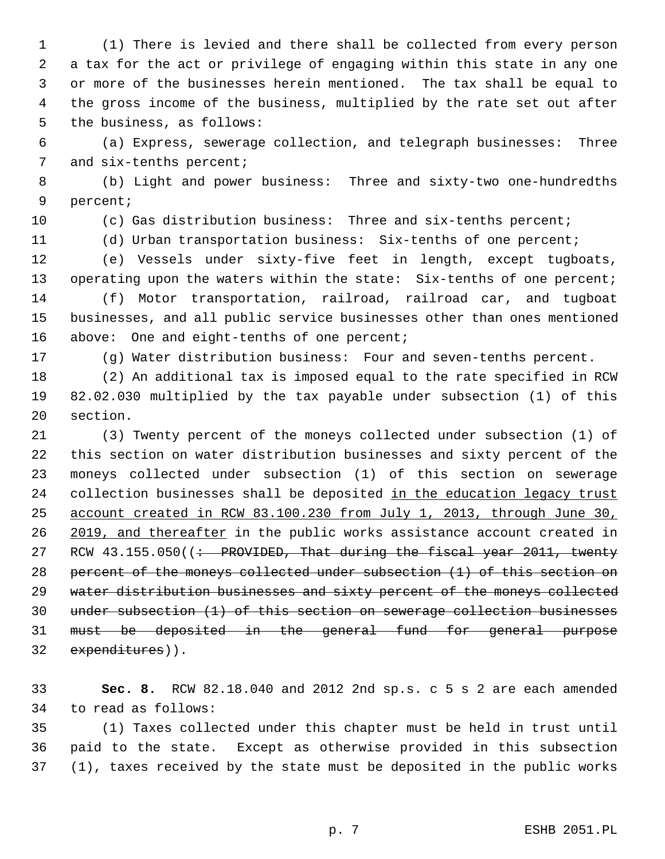1 (1) There is levied and there shall be collected from every person 2 a tax for the act or privilege of engaging within this state in any one 3 or more of the businesses herein mentioned. The tax shall be equal to 4 the gross income of the business, multiplied by the rate set out after 5 the business, as follows:

 6 (a) Express, sewerage collection, and telegraph businesses: Three 7 and six-tenths percent;

 8 (b) Light and power business: Three and sixty-two one-hundredths 9 percent;

10 (c) Gas distribution business: Three and six-tenths percent;

11 (d) Urban transportation business: Six-tenths of one percent;

12 (e) Vessels under sixty-five feet in length, except tugboats, 13 operating upon the waters within the state: Six-tenths of one percent;

14 (f) Motor transportation, railroad, railroad car, and tugboat 15 businesses, and all public service businesses other than ones mentioned 16 above: One and eight-tenths of one percent;

17 (g) Water distribution business: Four and seven-tenths percent.

18 (2) An additional tax is imposed equal to the rate specified in RCW 19 82.02.030 multiplied by the tax payable under subsection (1) of this 20 section.

21 (3) Twenty percent of the moneys collected under subsection (1) of 22 this section on water distribution businesses and sixty percent of the 23 moneys collected under subsection (1) of this section on sewerage 24 collection businesses shall be deposited in the education legacy trust 25 account created in RCW 83.100.230 from July 1, 2013, through June 30, 26 2019, and thereafter in the public works assistance account created in 27 RCW  $43.155.050$  ( $\div$  PROVIDED, That during the fiscal year 2011, twenty 28 percent of the moneys collected under subsection (1) of this section on 29 water distribution businesses and sixty percent of the moneys collected 30 under subsection (1) of this section on sewerage collection businesses 31 must be deposited in the general fund for general purpose 32 expenditures)).

33 **Sec. 8.** RCW 82.18.040 and 2012 2nd sp.s. c 5 s 2 are each amended 34 to read as follows:

35 (1) Taxes collected under this chapter must be held in trust until 36 paid to the state. Except as otherwise provided in this subsection 37 (1), taxes received by the state must be deposited in the public works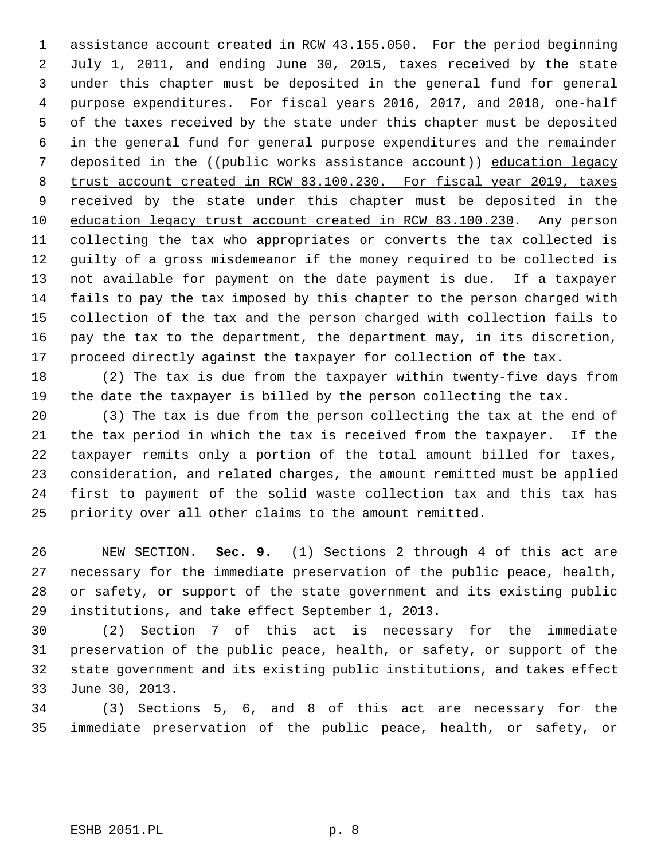1 assistance account created in RCW 43.155.050. For the period beginning 2 July 1, 2011, and ending June 30, 2015, taxes received by the state 3 under this chapter must be deposited in the general fund for general 4 purpose expenditures. For fiscal years 2016, 2017, and 2018, one-half 5 of the taxes received by the state under this chapter must be deposited 6 in the general fund for general purpose expenditures and the remainder 7 deposited in the ((public works assistance account)) education legacy 8 trust account created in RCW 83.100.230. For fiscal year 2019, taxes 9 received by the state under this chapter must be deposited in the 10 education legacy trust account created in RCW 83.100.230. Any person 11 collecting the tax who appropriates or converts the tax collected is 12 guilty of a gross misdemeanor if the money required to be collected is 13 not available for payment on the date payment is due. If a taxpayer 14 fails to pay the tax imposed by this chapter to the person charged with 15 collection of the tax and the person charged with collection fails to 16 pay the tax to the department, the department may, in its discretion, 17 proceed directly against the taxpayer for collection of the tax.

18 (2) The tax is due from the taxpayer within twenty-five days from 19 the date the taxpayer is billed by the person collecting the tax.

20 (3) The tax is due from the person collecting the tax at the end of 21 the tax period in which the tax is received from the taxpayer. If the 22 taxpayer remits only a portion of the total amount billed for taxes, 23 consideration, and related charges, the amount remitted must be applied 24 first to payment of the solid waste collection tax and this tax has 25 priority over all other claims to the amount remitted.

26 NEW SECTION. **Sec. 9.** (1) Sections 2 through 4 of this act are 27 necessary for the immediate preservation of the public peace, health, 28 or safety, or support of the state government and its existing public 29 institutions, and take effect September 1, 2013.

30 (2) Section 7 of this act is necessary for the immediate 31 preservation of the public peace, health, or safety, or support of the 32 state government and its existing public institutions, and takes effect 33 June 30, 2013.

34 (3) Sections 5, 6, and 8 of this act are necessary for the 35 immediate preservation of the public peace, health, or safety, or